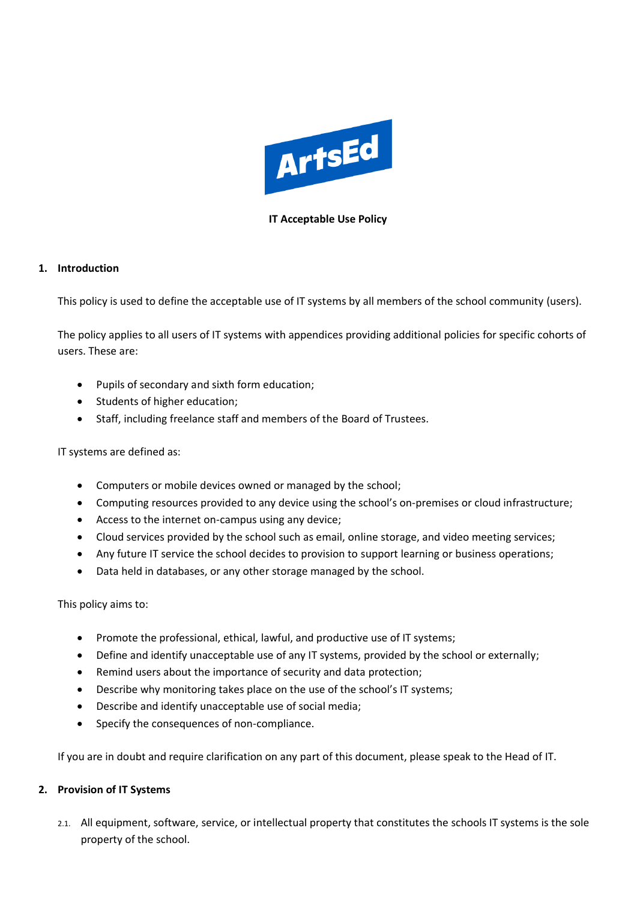

### **IT Acceptable Use Policy**

#### **1. Introduction**

This policy is used to define the acceptable use of IT systems by all members of the school community (users).

The policy applies to all users of IT systems with appendices providing additional policies for specific cohorts of users. These are:

- Pupils of secondary and sixth form education;
- Students of higher education;
- Staff, including freelance staff and members of the Board of Trustees.

### IT systems are defined as:

- Computers or mobile devices owned or managed by the school;
- Computing resources provided to any device using the school's on-premises or cloud infrastructure;
- Access to the internet on-campus using any device;
- Cloud services provided by the school such as email, online storage, and video meeting services;
- Any future IT service the school decides to provision to support learning or business operations;
- Data held in databases, or any other storage managed by the school.

This policy aims to:

- Promote the professional, ethical, lawful, and productive use of IT systems;
- Define and identify unacceptable use of any IT systems, provided by the school or externally;
- Remind users about the importance of security and data protection;
- Describe why monitoring takes place on the use of the school's IT systems;
- Describe and identify unacceptable use of social media;
- Specify the consequences of non-compliance.

If you are in doubt and require clarification on any part of this document, please speak to the Head of IT.

### **2. Provision of IT Systems**

2.1. All equipment, software, service, or intellectual property that constitutes the schools IT systems is the sole property of the school.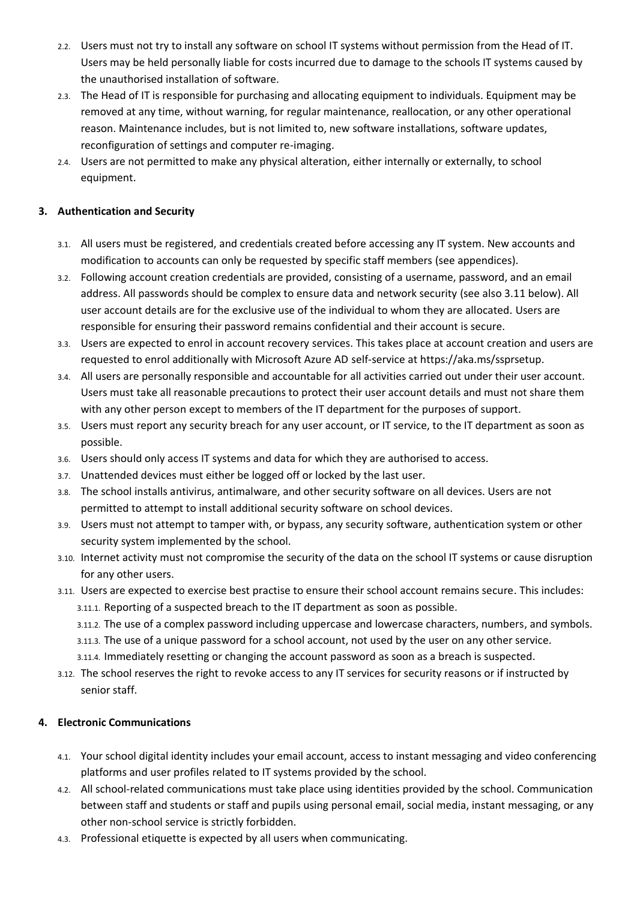- 2.2. Users must not try to install any software on school IT systems without permission from the Head of IT. Users may be held personally liable for costs incurred due to damage to the schools IT systems caused by the unauthorised installation of software.
- 2.3. The Head of IT is responsible for purchasing and allocating equipment to individuals. Equipment may be removed at any time, without warning, for regular maintenance, reallocation, or any other operational reason. Maintenance includes, but is not limited to, new software installations, software updates, reconfiguration of settings and computer re-imaging.
- 2.4. Users are not permitted to make any physical alteration, either internally or externally, to school equipment.

## **3. Authentication and Security**

- 3.1. All users must be registered, and credentials created before accessing any IT system. New accounts and modification to accounts can only be requested by specific staff members (see appendices).
- 3.2. Following account creation credentials are provided, consisting of a username, password, and an email address. All passwords should be complex to ensure data and network security (see also 3.11 below). All user account details are for the exclusive use of the individual to whom they are allocated. Users are responsible for ensuring their password remains confidential and their account is secure.
- 3.3. Users are expected to enrol in account recovery services. This takes place at account creation and users are requested to enrol additionally with Microsoft Azure AD self-service at https://aka.ms/ssprsetup.
- 3.4. All users are personally responsible and accountable for all activities carried out under their user account. Users must take all reasonable precautions to protect their user account details and must not share them with any other person except to members of the IT department for the purposes of support.
- 3.5. Users must report any security breach for any user account, or IT service, to the IT department as soon as possible.
- 3.6. Users should only access IT systems and data for which they are authorised to access.
- 3.7. Unattended devices must either be logged off or locked by the last user.
- 3.8. The school installs antivirus, antimalware, and other security software on all devices. Users are not permitted to attempt to install additional security software on school devices.
- 3.9. Users must not attempt to tamper with, or bypass, any security software, authentication system or other security system implemented by the school.
- 3.10. Internet activity must not compromise the security of the data on the school IT systems or cause disruption for any other users.
- 3.11. Users are expected to exercise best practise to ensure their school account remains secure. This includes: 3.11.1. Reporting of a suspected breach to the IT department as soon as possible.
	- 3.11.2. The use of a complex password including uppercase and lowercase characters, numbers, and symbols.
	- 3.11.3. The use of a unique password for a school account, not used by the user on any other service.
	- 3.11.4. Immediately resetting or changing the account password as soon as a breach is suspected.
- 3.12. The school reserves the right to revoke access to any IT services for security reasons or if instructed by senior staff.

### **4. Electronic Communications**

- 4.1. Your school digital identity includes your email account, access to instant messaging and video conferencing platforms and user profiles related to IT systems provided by the school.
- 4.2. All school-related communications must take place using identities provided by the school. Communication between staff and students or staff and pupils using personal email, social media, instant messaging, or any other non-school service is strictly forbidden.
- 4.3. Professional etiquette is expected by all users when communicating.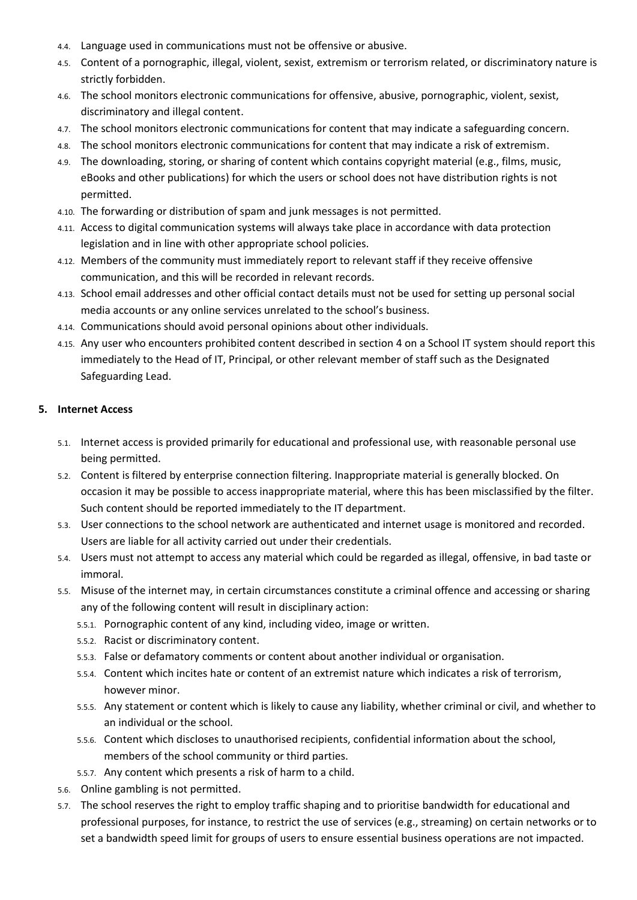- 4.4. Language used in communications must not be offensive or abusive.
- 4.5. Content of a pornographic, illegal, violent, sexist, extremism or terrorism related, or discriminatory nature is strictly forbidden.
- 4.6. The school monitors electronic communications for offensive, abusive, pornographic, violent, sexist, discriminatory and illegal content.
- 4.7. The school monitors electronic communications for content that may indicate a safeguarding concern.
- 4.8. The school monitors electronic communications for content that may indicate a risk of extremism.
- 4.9. The downloading, storing, or sharing of content which contains copyright material (e.g., films, music, eBooks and other publications) for which the users or school does not have distribution rights is not permitted.
- 4.10. The forwarding or distribution of spam and junk messages is not permitted.
- 4.11. Access to digital communication systems will always take place in accordance with data protection legislation and in line with other appropriate school policies.
- 4.12. Members of the community must immediately report to relevant staff if they receive offensive communication, and this will be recorded in relevant records.
- 4.13. School email addresses and other official contact details must not be used for setting up personal social media accounts or any online services unrelated to the school's business.
- 4.14. Communications should avoid personal opinions about other individuals.
- 4.15. Any user who encounters prohibited content described in section 4 on a School IT system should report this immediately to the Head of IT, Principal, or other relevant member of staff such as the Designated Safeguarding Lead.

#### **5. Internet Access**

- 5.1. Internet access is provided primarily for educational and professional use, with reasonable personal use being permitted.
- 5.2. Content is filtered by enterprise connection filtering. Inappropriate material is generally blocked. On occasion it may be possible to access inappropriate material, where this has been misclassified by the filter. Such content should be reported immediately to the IT department.
- 5.3. User connections to the school network are authenticated and internet usage is monitored and recorded. Users are liable for all activity carried out under their credentials.
- 5.4. Users must not attempt to access any material which could be regarded as illegal, offensive, in bad taste or immoral.
- 5.5. Misuse of the internet may, in certain circumstances constitute a criminal offence and accessing or sharing any of the following content will result in disciplinary action:
	- 5.5.1. Pornographic content of any kind, including video, image or written.
	- 5.5.2. Racist or discriminatory content.
	- 5.5.3. False or defamatory comments or content about another individual or organisation.
	- 5.5.4. Content which incites hate or content of an extremist nature which indicates a risk of terrorism, however minor.
	- 5.5.5. Any statement or content which is likely to cause any liability, whether criminal or civil, and whether to an individual or the school.
	- 5.5.6. Content which discloses to unauthorised recipients, confidential information about the school, members of the school community or third parties.
	- 5.5.7. Any content which presents a risk of harm to a child.
- 5.6. Online gambling is not permitted.
- 5.7. The school reserves the right to employ traffic shaping and to prioritise bandwidth for educational and professional purposes, for instance, to restrict the use of services (e.g., streaming) on certain networks or to set a bandwidth speed limit for groups of users to ensure essential business operations are not impacted.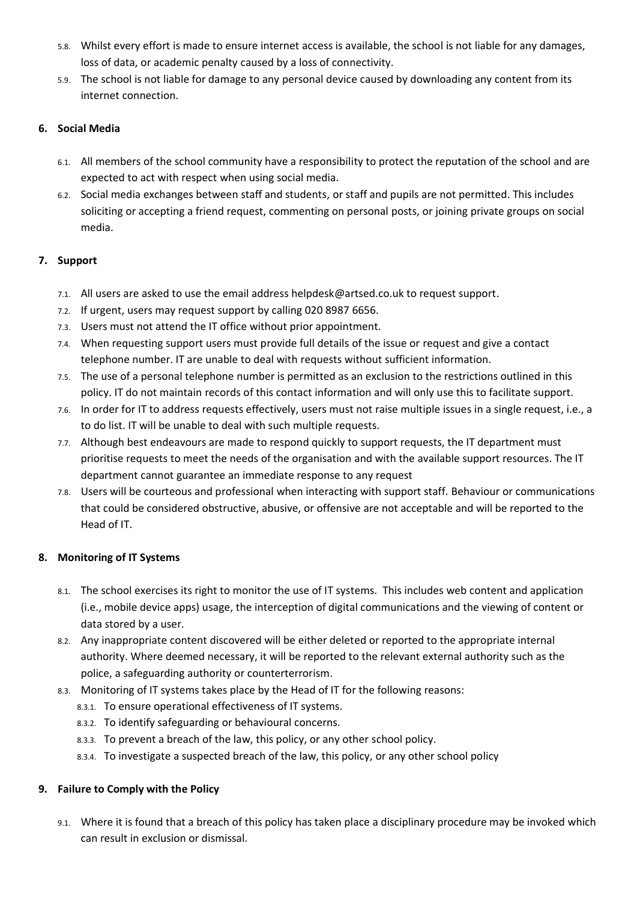- 5.8. Whilst every effort is made to ensure internet access is available, the school is not liable for any damages, loss of data, or academic penalty caused by a loss of connectivity.
- 5.9. The school is not liable for damage to any personal device caused by downloading any content from its internet connection.

## **6. Social Media**

- 6.1. All members of the school community have a responsibility to protect the reputation of the school and are expected to act with respect when using social media.
- 6.2. Social media exchanges between staff and students, or staff and pupils are not permitted. This includes soliciting or accepting a friend request, commenting on personal posts, or joining private groups on social media.

# **7. Support**

- 7.1. All users are asked to use the email address helpdesk@artsed.co.uk to request support.
- 7.2. If urgent, users may request support by calling 020 8987 6656.
- 7.3. Users must not attend the IT office without prior appointment.
- 7.4. When requesting support users must provide full details of the issue or request and give a contact telephone number. IT are unable to deal with requests without sufficient information.
- 7.5. The use of a personal telephone number is permitted as an exclusion to the restrictions outlined in this policy. IT do not maintain records of this contact information and will only use this to facilitate support.
- 7.6. In order for IT to address requests effectively, users must not raise multiple issues in a single request, i.e., a to do list. IT will be unable to deal with such multiple requests.
- 7.7. Although best endeavours are made to respond quickly to support requests, the IT department must prioritise requests to meet the needs of the organisation and with the available support resources. The IT department cannot guarantee an immediate response to any request
- 7.8. Users will be courteous and professional when interacting with support staff. Behaviour or communications that could be considered obstructive, abusive, or offensive are not acceptable and will be reported to the Head of IT.

# **8. Monitoring of IT Systems**

- 8.1. The school exercises its right to monitor the use of IT systems. This includes web content and application (i.e., mobile device apps) usage, the interception of digital communications and the viewing of content or data stored by a user.
- 8.2. Any inappropriate content discovered will be either deleted or reported to the appropriate internal authority. Where deemed necessary, it will be reported to the relevant external authority such as the police, a safeguarding authority or counterterrorism.
- 8.3. Monitoring of IT systems takes place by the Head of IT for the following reasons:
	- 8.3.1. To ensure operational effectiveness of IT systems.
	- 8.3.2. To identify safeguarding or behavioural concerns.
	- 8.3.3. To prevent a breach of the law, this policy, or any other school policy.
	- 8.3.4. To investigate a suspected breach of the law, this policy, or any other school policy

# **9. Failure to Comply with the Policy**

9.1. Where it is found that a breach of this policy has taken place a disciplinary procedure may be invoked which can result in exclusion or dismissal.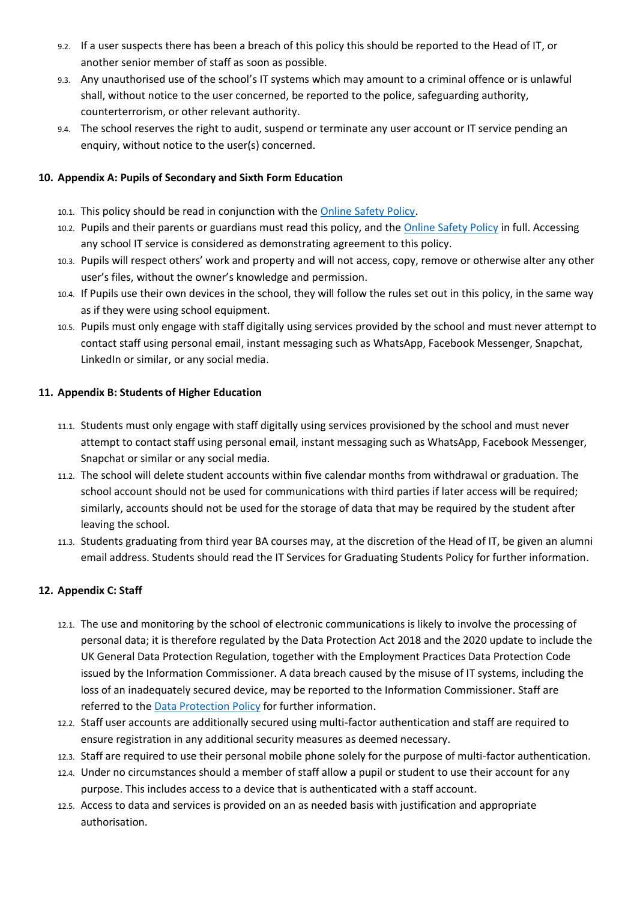- 9.2. If a user suspects there has been a breach of this policy this should be reported to the Head of IT, or another senior member of staff as soon as possible.
- 9.3. Any unauthorised use of the school's IT systems which may amount to a criminal offence or is unlawful shall, without notice to the user concerned, be reported to the police, safeguarding authority, counterterrorism, or other relevant authority.
- 9.4. The school reserves the right to audit, suspend or terminate any user account or IT service pending an enquiry, without notice to the user(s) concerned.

## **10. Appendix A: Pupils of Secondary and Sixth Form Education**

- 10.1. This policy should be read in conjunction with the [Online Safety Policy.](https://artsed003.blob.core.windows.net/policy/dssf-online-safety-policy.pdf)
- 10.2. Pupils and their parents or guardians must read this policy, and th[e Online Safety Policy](https://artsed003.blob.core.windows.net/policy/dssf-online-safety-policy.pdf) in full. Accessing any school IT service is considered as demonstrating agreement to this policy.
- 10.3. Pupils will respect others' work and property and will not access, copy, remove or otherwise alter any other user's files, without the owner's knowledge and permission.
- 10.4. If Pupils use their own devices in the school, they will follow the rules set out in this policy, in the same way as if they were using school equipment.
- 10.5. Pupils must only engage with staff digitally using services provided by the school and must never attempt to contact staff using personal email, instant messaging such as WhatsApp, Facebook Messenger, Snapchat, LinkedIn or similar, or any social media.

## **11. Appendix B: Students of Higher Education**

- 11.1. Students must only engage with staff digitally using services provisioned by the school and must never attempt to contact staff using personal email, instant messaging such as WhatsApp, Facebook Messenger, Snapchat or similar or any social media.
- 11.2. The school will delete student accounts within five calendar months from withdrawal or graduation. The school account should not be used for communications with third parties if later access will be required; similarly, accounts should not be used for the storage of data that may be required by the student after leaving the school.
- 11.3. Students graduating from third year BA courses may, at the discretion of the Head of IT, be given an alumni email address. Students should read the IT Services for Graduating Students Policy for further information.

# **12. Appendix C: Staff**

- 12.1. The use and monitoring by the school of electronic communications is likely to involve the processing of personal data; it is therefore regulated by the Data Protection Act 2018 and the 2020 update to include the UK General Data Protection Regulation, together with the Employment Practices Data Protection Code issued by the Information Commissioner. A data breach caused by the misuse of IT systems, including the loss of an inadequately secured device, may be reported to the Information Commissioner. Staff are referred to the [Data Protection](https://artsed003.blob.core.windows.net/policy/data-protection-policy.pdf) Policy for further information.
- 12.2. Staff user accounts are additionally secured using multi-factor authentication and staff are required to ensure registration in any additional security measures as deemed necessary.
- 12.3. Staff are required to use their personal mobile phone solely for the purpose of multi-factor authentication.
- 12.4. Under no circumstances should a member of staff allow a pupil or student to use their account for any purpose. This includes access to a device that is authenticated with a staff account.
- 12.5. Access to data and services is provided on an as needed basis with justification and appropriate authorisation.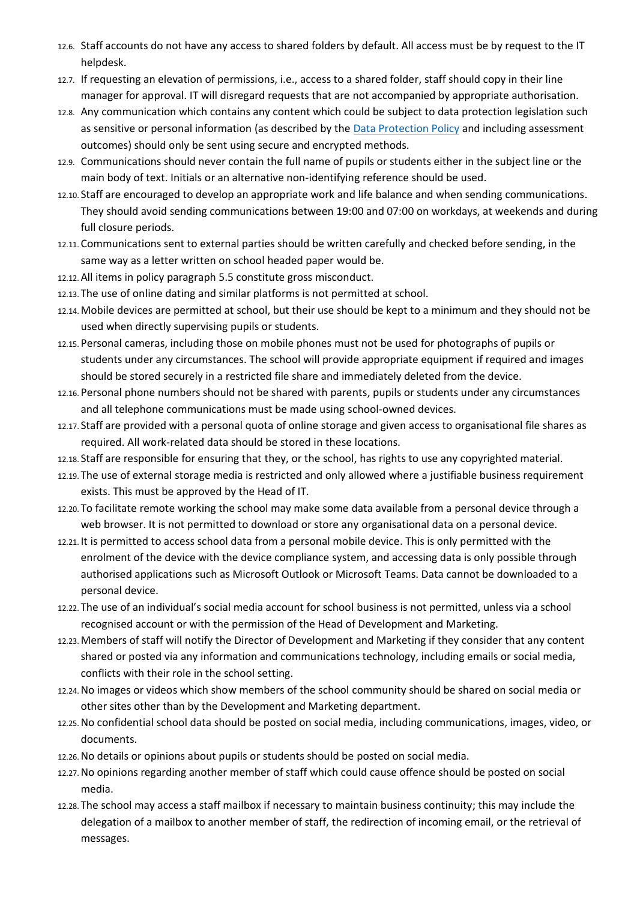- 12.6. Staff accounts do not have any access to shared folders by default. All access must be by request to the IT helpdesk.
- 12.7. If requesting an elevation of permissions, i.e., access to a shared folder, staff should copy in their line manager for approval. IT will disregard requests that are not accompanied by appropriate authorisation.
- 12.8. Any communication which contains any content which could be subject to data protection legislation such as sensitive or personal information (as described by the [Data Protection Policy](https://artsed003.blob.core.windows.net/policy/data-protection-policy.pdf) and including assessment outcomes) should only be sent using secure and encrypted methods.
- 12.9. Communications should never contain the full name of pupils or students either in the subject line or the main body of text. Initials or an alternative non-identifying reference should be used.
- 12.10. Staff are encouraged to develop an appropriate work and life balance and when sending communications. They should avoid sending communications between 19:00 and 07:00 on workdays, at weekends and during full closure periods.
- 12.11. Communications sent to external parties should be written carefully and checked before sending, in the same way as a letter written on school headed paper would be.
- 12.12.All items in policy paragraph 5.5 constitute gross misconduct.
- 12.13. The use of online dating and similar platforms is not permitted at school.
- 12.14.Mobile devices are permitted at school, but their use should be kept to a minimum and they should not be used when directly supervising pupils or students.
- 12.15. Personal cameras, including those on mobile phones must not be used for photographs of pupils or students under any circumstances. The school will provide appropriate equipment if required and images should be stored securely in a restricted file share and immediately deleted from the device.
- 12.16. Personal phone numbers should not be shared with parents, pupils or students under any circumstances and all telephone communications must be made using school-owned devices.
- 12.17. Staff are provided with a personal quota of online storage and given access to organisational file shares as required. All work-related data should be stored in these locations.
- 12.18. Staff are responsible for ensuring that they, or the school, has rights to use any copyrighted material.
- 12.19. The use of external storage media is restricted and only allowed where a justifiable business requirement exists. This must be approved by the Head of IT.
- 12.20. To facilitate remote working the school may make some data available from a personal device through a web browser. It is not permitted to download or store any organisational data on a personal device.
- 12.21. It is permitted to access school data from a personal mobile device. This is only permitted with the enrolment of the device with the device compliance system, and accessing data is only possible through authorised applications such as Microsoft Outlook or Microsoft Teams. Data cannot be downloaded to a personal device.
- 12.22. The use of an individual's social media account for school business is not permitted, unless via a school recognised account or with the permission of the Head of Development and Marketing.
- 12.23.Members of staff will notify the Director of Development and Marketing if they consider that any content shared or posted via any information and communications technology, including emails or social media, conflicts with their role in the school setting.
- 12.24.No images or videos which show members of the school community should be shared on social media or other sites other than by the Development and Marketing department.
- 12.25.No confidential school data should be posted on social media, including communications, images, video, or documents.
- 12.26.No details or opinions about pupils or students should be posted on social media.
- 12.27.No opinions regarding another member of staff which could cause offence should be posted on social media.
- 12.28. The school may access a staff mailbox if necessary to maintain business continuity; this may include the delegation of a mailbox to another member of staff, the redirection of incoming email, or the retrieval of messages.